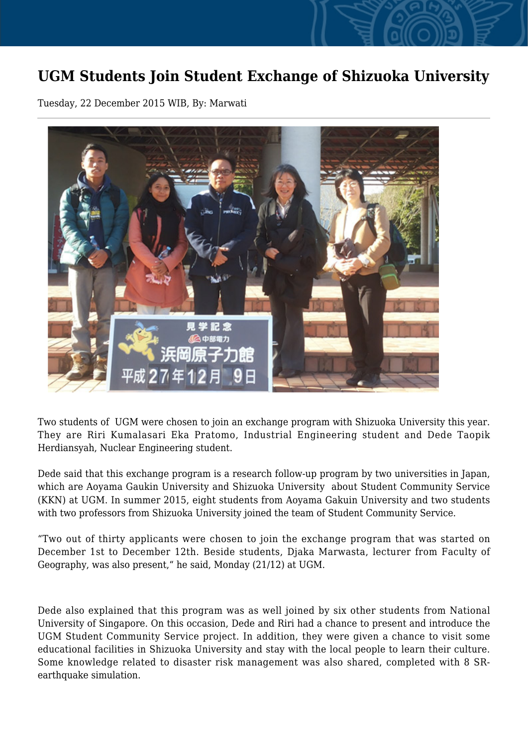## **UGM Students Join Student Exchange of Shizuoka University**

Tuesday, 22 December 2015 WIB, By: Marwati



Two students of UGM were chosen to join an exchange program with Shizuoka University this year. They are Riri Kumalasari Eka Pratomo, Industrial Engineering student and Dede Taopik Herdiansyah, Nuclear Engineering student.

Dede said that this exchange program is a research follow-up program by two universities in Japan, which are Aoyama Gaukin University and Shizuoka University about Student Community Service (KKN) at UGM. In summer 2015, eight students from Aoyama Gakuin University and two students with two professors from Shizuoka University joined the team of Student Community Service.

"Two out of thirty applicants were chosen to join the exchange program that was started on December 1st to December 12th. Beside students, Djaka Marwasta, lecturer from Faculty of Geography, was also present," he said, Monday (21/12) at UGM.

Dede also explained that this program was as well joined by six other students from National University of Singapore. On this occasion, Dede and Riri had a chance to present and introduce the UGM Student Community Service project. In addition, they were given a chance to visit some educational facilities in Shizuoka University and stay with the local people to learn their culture. Some knowledge related to disaster risk management was also shared, completed with 8 SRearthquake simulation.